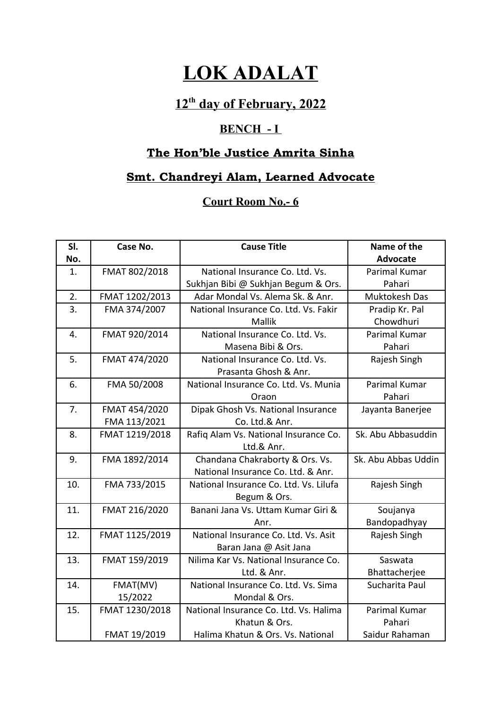# **LOK ADALAT**

## **12th day of February, 2022**

### **BENCH - I**

## **The Hon'ble Justice Amrita Sinha**

### **Smt. Chandreyi Alam, Learned Advocate**

### **Court Room No.- 6**

| SI. | Case No.       | <b>Cause Title</b>                     | Name of the         |
|-----|----------------|----------------------------------------|---------------------|
| No. |                |                                        | Advocate            |
| 1.  | FMAT 802/2018  | National Insurance Co. Ltd. Vs.        | Parimal Kumar       |
|     |                | Sukhjan Bibi @ Sukhjan Begum & Ors.    | Pahari              |
| 2.  | FMAT 1202/2013 | Adar Mondal Vs. Alema Sk. & Anr.       | Muktokesh Das       |
| 3.  | FMA 374/2007   | National Insurance Co. Ltd. Vs. Fakir  | Pradip Kr. Pal      |
|     |                | <b>Mallik</b>                          | Chowdhuri           |
| 4.  | FMAT 920/2014  | National Insurance Co. Ltd. Vs.        | Parimal Kumar       |
|     |                | Masena Bibi & Ors.                     | Pahari              |
| 5.  | FMAT 474/2020  | National Insurance Co. Ltd. Vs.        | Rajesh Singh        |
|     |                | Prasanta Ghosh & Anr.                  |                     |
| 6.  | FMA 50/2008    | National Insurance Co. Ltd. Vs. Munia  | Parimal Kumar       |
|     |                | Oraon                                  | Pahari              |
| 7.  | FMAT 454/2020  | Dipak Ghosh Vs. National Insurance     | Jayanta Banerjee    |
|     | FMA 113/2021   | Co. Ltd.& Anr.                         |                     |
| 8.  | FMAT 1219/2018 | Rafiq Alam Vs. National Insurance Co.  | Sk. Abu Abbasuddin  |
|     |                | Ltd.& Anr.                             |                     |
| 9.  | FMA 1892/2014  | Chandana Chakraborty & Ors. Vs.        | Sk. Abu Abbas Uddin |
|     |                | National Insurance Co. Ltd. & Anr.     |                     |
| 10. | FMA 733/2015   | National Insurance Co. Ltd. Vs. Lilufa | Rajesh Singh        |
|     |                | Begum & Ors.                           |                     |
| 11. | FMAT 216/2020  | Banani Jana Vs. Uttam Kumar Giri &     | Soujanya            |
|     |                | Anr.                                   | Bandopadhyay        |
| 12. | FMAT 1125/2019 | National Insurance Co. Ltd. Vs. Asit   | Rajesh Singh        |
|     |                | Baran Jana @ Asit Jana                 |                     |
| 13. | FMAT 159/2019  | Nilima Kar Vs. National Insurance Co.  | Saswata             |
|     |                | Ltd. & Anr.                            | Bhattacherjee       |
| 14. | FMAT(MV)       | National Insurance Co. Ltd. Vs. Sima   | Sucharita Paul      |
|     | 15/2022        | Mondal & Ors.                          |                     |
| 15. | FMAT 1230/2018 | National Insurance Co. Ltd. Vs. Halima | Parimal Kumar       |
|     |                | Khatun & Ors.                          | Pahari              |
|     | FMAT 19/2019   | Halima Khatun & Ors. Vs. National      | Saidur Rahaman      |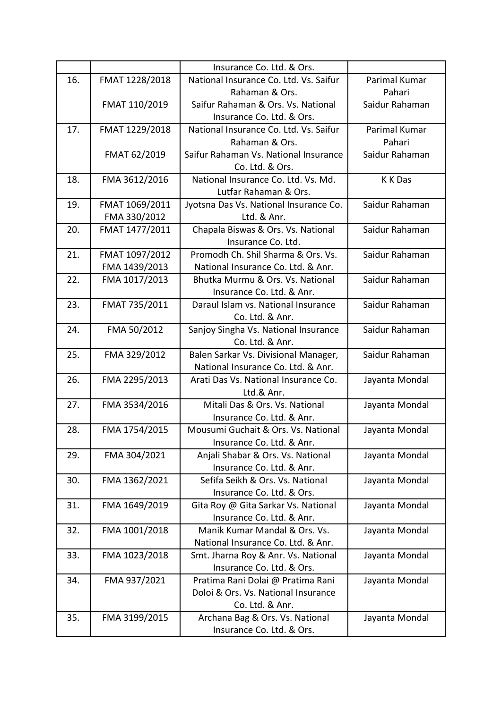|     |                | Insurance Co. Ltd. & Ors.              |                |
|-----|----------------|----------------------------------------|----------------|
| 16. | FMAT 1228/2018 | National Insurance Co. Ltd. Vs. Saifur | Parimal Kumar  |
|     |                | Rahaman & Ors.                         | Pahari         |
|     | FMAT 110/2019  | Saifur Rahaman & Ors. Vs. National     | Saidur Rahaman |
|     |                | Insurance Co. Ltd. & Ors.              |                |
| 17. | FMAT 1229/2018 | National Insurance Co. Ltd. Vs. Saifur | Parimal Kumar  |
|     |                | Rahaman & Ors.                         | Pahari         |
|     | FMAT 62/2019   | Saifur Rahaman Vs. National Insurance  | Saidur Rahaman |
|     |                | Co. Ltd. & Ors.                        |                |
| 18. | FMA 3612/2016  | National Insurance Co. Ltd. Vs. Md.    | <b>KKDas</b>   |
|     |                | Lutfar Rahaman & Ors.                  |                |
| 19. | FMAT 1069/2011 | Jyotsna Das Vs. National Insurance Co. | Saidur Rahaman |
|     | FMA 330/2012   | Ltd. & Anr.                            |                |
| 20. | FMAT 1477/2011 | Chapala Biswas & Ors. Vs. National     | Saidur Rahaman |
|     |                | Insurance Co. Ltd.                     |                |
| 21. | FMAT 1097/2012 | Promodh Ch. Shil Sharma & Ors. Vs.     | Saidur Rahaman |
|     | FMA 1439/2013  | National Insurance Co. Ltd. & Anr.     |                |
| 22. | FMA 1017/2013  | Bhutka Murmu & Ors. Vs. National       | Saidur Rahaman |
|     |                | Insurance Co. Ltd. & Anr.              |                |
| 23. | FMAT 735/2011  | Daraul Islam vs. National Insurance    | Saidur Rahaman |
|     |                | Co. Ltd. & Anr.                        |                |
| 24. | FMA 50/2012    | Sanjoy Singha Vs. National Insurance   | Saidur Rahaman |
|     |                | Co. Ltd. & Anr.                        |                |
| 25. | FMA 329/2012   | Balen Sarkar Vs. Divisional Manager,   | Saidur Rahaman |
|     |                | National Insurance Co. Ltd. & Anr.     |                |
| 26. | FMA 2295/2013  | Arati Das Vs. National Insurance Co.   | Jayanta Mondal |
|     |                | Ltd.& Anr.                             |                |
| 27. | FMA 3534/2016  | Mitali Das & Ors. Vs. National         | Jayanta Mondal |
|     |                | Insurance Co. Ltd. & Anr.              |                |
| 28. | FMA 1754/2015  | Mousumi Guchait & Ors. Vs. National    | Jayanta Mondal |
|     |                | Insurance Co. Ltd. & Anr.              |                |
| 29. | FMA 304/2021   | Anjali Shabar & Ors. Vs. National      | Jayanta Mondal |
|     |                | Insurance Co. Ltd. & Anr.              |                |
| 30. | FMA 1362/2021  | Sefifa Seikh & Ors. Vs. National       | Jayanta Mondal |
|     |                | Insurance Co. Ltd. & Ors.              |                |
| 31. | FMA 1649/2019  | Gita Roy @ Gita Sarkar Vs. National    | Jayanta Mondal |
|     |                | Insurance Co. Ltd. & Anr.              |                |
| 32. | FMA 1001/2018  | Manik Kumar Mandal & Ors. Vs.          | Jayanta Mondal |
|     |                | National Insurance Co. Ltd. & Anr.     |                |
| 33. | FMA 1023/2018  | Smt. Jharna Roy & Anr. Vs. National    | Jayanta Mondal |
|     |                | Insurance Co. Ltd. & Ors.              |                |
| 34. | FMA 937/2021   | Pratima Rani Dolai @ Pratima Rani      | Jayanta Mondal |
|     |                | Doloi & Ors. Vs. National Insurance    |                |
|     |                | Co. Ltd. & Anr.                        |                |
| 35. | FMA 3199/2015  | Archana Bag & Ors. Vs. National        | Jayanta Mondal |
|     |                | Insurance Co. Ltd. & Ors.              |                |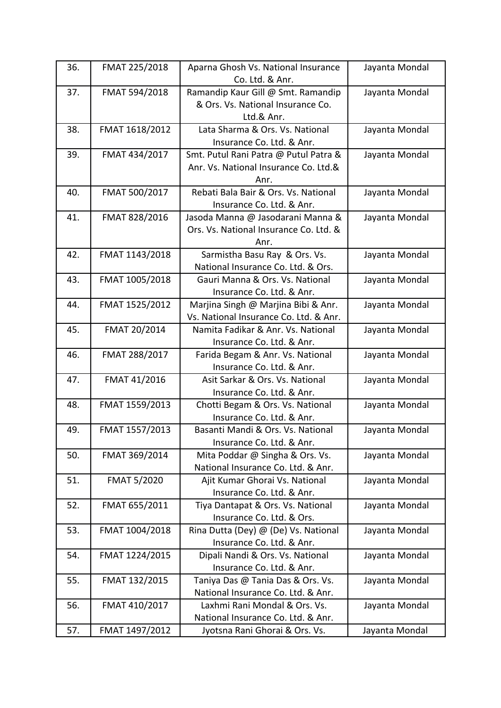| 36. | FMAT 225/2018  | Aparna Ghosh Vs. National Insurance    | Jayanta Mondal |
|-----|----------------|----------------------------------------|----------------|
|     |                | Co. Ltd. & Anr.                        |                |
| 37. | FMAT 594/2018  | Ramandip Kaur Gill @ Smt. Ramandip     | Jayanta Mondal |
|     |                | & Ors. Vs. National Insurance Co.      |                |
|     |                | Ltd.& Anr.                             |                |
| 38. | FMAT 1618/2012 | Lata Sharma & Ors. Vs. National        | Jayanta Mondal |
|     |                | Insurance Co. Ltd. & Anr.              |                |
| 39. | FMAT 434/2017  | Smt. Putul Rani Patra @ Putul Patra &  | Jayanta Mondal |
|     |                | Anr. Vs. National Insurance Co. Ltd.&  |                |
|     |                | Anr.                                   |                |
| 40. | FMAT 500/2017  | Rebati Bala Bair & Ors. Vs. National   | Jayanta Mondal |
|     |                | Insurance Co. Ltd. & Anr.              |                |
| 41. | FMAT 828/2016  | Jasoda Manna @ Jasodarani Manna &      | Jayanta Mondal |
|     |                | Ors. Vs. National Insurance Co. Ltd. & |                |
|     |                | Anr.                                   |                |
| 42. | FMAT 1143/2018 | Sarmistha Basu Ray & Ors. Vs.          | Jayanta Mondal |
|     |                | National Insurance Co. Ltd. & Ors.     |                |
| 43. | FMAT 1005/2018 | Gauri Manna & Ors. Vs. National        | Jayanta Mondal |
|     |                | Insurance Co. Ltd. & Anr.              |                |
| 44. | FMAT 1525/2012 | Marjina Singh @ Marjina Bibi & Anr.    | Jayanta Mondal |
|     |                | Vs. National Insurance Co. Ltd. & Anr. |                |
| 45. | FMAT 20/2014   | Namita Fadikar & Anr. Vs. National     | Jayanta Mondal |
|     |                | Insurance Co. Ltd. & Anr.              |                |
| 46. | FMAT 288/2017  | Farida Begam & Anr. Vs. National       | Jayanta Mondal |
|     |                | Insurance Co. Ltd. & Anr.              |                |
| 47. | FMAT 41/2016   | Asit Sarkar & Ors. Vs. National        | Jayanta Mondal |
|     |                | Insurance Co. Ltd. & Anr.              |                |
| 48. | FMAT 1559/2013 | Chotti Begam & Ors. Vs. National       | Jayanta Mondal |
|     |                | Insurance Co. Ltd. & Anr.              |                |
| 49. | FMAT 1557/2013 | Basanti Mandi & Ors. Vs. National      | Jayanta Mondal |
|     |                | Insurance Co. Ltd. & Anr.              |                |
| 50. | FMAT 369/2014  | Mita Poddar @ Singha & Ors. Vs.        | Jayanta Mondal |
|     |                | National Insurance Co. Ltd. & Anr.     |                |
| 51. | FMAT 5/2020    | Ajit Kumar Ghorai Vs. National         | Jayanta Mondal |
|     |                | Insurance Co. Ltd. & Anr.              |                |
| 52. | FMAT 655/2011  | Tiya Dantapat & Ors. Vs. National      | Jayanta Mondal |
|     |                | Insurance Co. Ltd. & Ors.              |                |
| 53. | FMAT 1004/2018 | Rina Dutta (Dey) @ (De) Vs. National   | Jayanta Mondal |
|     |                | Insurance Co. Ltd. & Anr.              |                |
| 54. | FMAT 1224/2015 | Dipali Nandi & Ors. Vs. National       | Jayanta Mondal |
|     |                | Insurance Co. Ltd. & Anr.              |                |
| 55. | FMAT 132/2015  | Taniya Das @ Tania Das & Ors. Vs.      | Jayanta Mondal |
|     |                | National Insurance Co. Ltd. & Anr.     |                |
| 56. | FMAT 410/2017  | Laxhmi Rani Mondal & Ors. Vs.          | Jayanta Mondal |
|     |                | National Insurance Co. Ltd. & Anr.     |                |
| 57. | FMAT 1497/2012 | Jyotsna Rani Ghorai & Ors. Vs.         | Jayanta Mondal |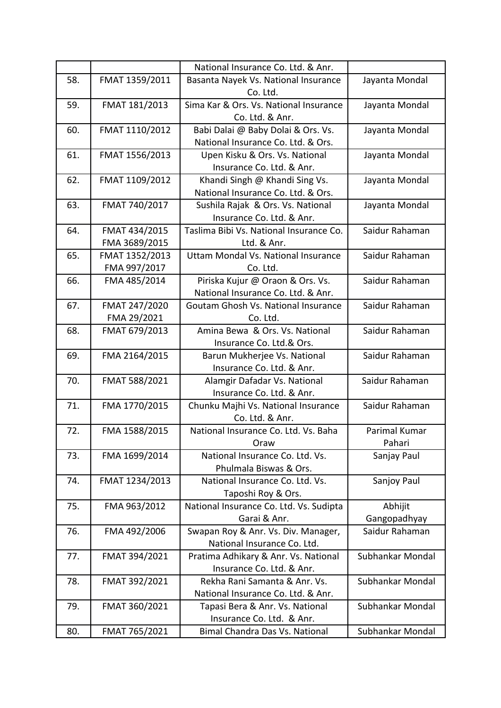|     |                | National Insurance Co. Ltd. & Anr.      |                  |
|-----|----------------|-----------------------------------------|------------------|
| 58. | FMAT 1359/2011 | Basanta Nayek Vs. National Insurance    | Jayanta Mondal   |
|     |                | Co. Ltd.                                |                  |
| 59. | FMAT 181/2013  | Sima Kar & Ors. Vs. National Insurance  | Jayanta Mondal   |
|     |                | Co. Ltd. & Anr.                         |                  |
| 60. | FMAT 1110/2012 | Babi Dalai @ Baby Dolai & Ors. Vs.      | Jayanta Mondal   |
|     |                | National Insurance Co. Ltd. & Ors.      |                  |
| 61. | FMAT 1556/2013 | Upen Kisku & Ors. Vs. National          | Jayanta Mondal   |
|     |                | Insurance Co. Ltd. & Anr.               |                  |
| 62. | FMAT 1109/2012 | Khandi Singh @ Khandi Sing Vs.          | Jayanta Mondal   |
|     |                | National Insurance Co. Ltd. & Ors.      |                  |
| 63. | FMAT 740/2017  | Sushila Rajak & Ors. Vs. National       | Jayanta Mondal   |
|     |                | Insurance Co. Ltd. & Anr.               |                  |
| 64. | FMAT 434/2015  | Taslima Bibi Vs. National Insurance Co. | Saidur Rahaman   |
|     | FMA 3689/2015  | Ltd. & Anr.                             |                  |
| 65. | FMAT 1352/2013 | Uttam Mondal Vs. National Insurance     | Saidur Rahaman   |
|     | FMA 997/2017   | Co. Ltd.                                |                  |
| 66. | FMA 485/2014   | Piriska Kujur @ Oraon & Ors. Vs.        | Saidur Rahaman   |
|     |                | National Insurance Co. Ltd. & Anr.      |                  |
| 67. | FMAT 247/2020  | Goutam Ghosh Vs. National Insurance     | Saidur Rahaman   |
|     | FMA 29/2021    | Co. Ltd.                                |                  |
| 68. | FMAT 679/2013  | Amina Bewa & Ors. Vs. National          | Saidur Rahaman   |
|     |                | Insurance Co. Ltd.& Ors.                |                  |
| 69. | FMA 2164/2015  | Barun Mukherjee Vs. National            | Saidur Rahaman   |
|     |                | Insurance Co. Ltd. & Anr.               |                  |
| 70. | FMAT 588/2021  | Alamgir Dafadar Vs. National            | Saidur Rahaman   |
|     |                | Insurance Co. Ltd. & Anr.               |                  |
| 71. | FMA 1770/2015  | Chunku Majhi Vs. National Insurance     | Saidur Rahaman   |
|     |                | Co. Ltd. & Anr.                         |                  |
| 72. | FMA 1588/2015  | National Insurance Co. Ltd. Vs. Baha    | Parimal Kumar    |
|     |                | Oraw                                    | Pahari           |
| 73. | FMA 1699/2014  | National Insurance Co. Ltd. Vs.         | Sanjay Paul      |
|     |                | Phulmala Biswas & Ors.                  |                  |
| 74. | FMAT 1234/2013 | National Insurance Co. Ltd. Vs.         | Sanjoy Paul      |
|     |                | Taposhi Roy & Ors.                      |                  |
| 75. | FMA 963/2012   | National Insurance Co. Ltd. Vs. Sudipta | Abhijit          |
|     |                | Garai & Anr.                            | Gangopadhyay     |
| 76. | FMA 492/2006   | Swapan Roy & Anr. Vs. Div. Manager,     | Saidur Rahaman   |
|     |                | National Insurance Co. Ltd.             |                  |
| 77. | FMAT 394/2021  | Pratima Adhikary & Anr. Vs. National    | Subhankar Mondal |
|     |                | Insurance Co. Ltd. & Anr.               |                  |
| 78. | FMAT 392/2021  | Rekha Rani Samanta & Anr. Vs.           | Subhankar Mondal |
|     |                | National Insurance Co. Ltd. & Anr.      |                  |
| 79. | FMAT 360/2021  | Tapasi Bera & Anr. Vs. National         | Subhankar Mondal |
|     |                | Insurance Co. Ltd. & Anr.               |                  |
| 80. | FMAT 765/2021  | <b>Bimal Chandra Das Vs. National</b>   | Subhankar Mondal |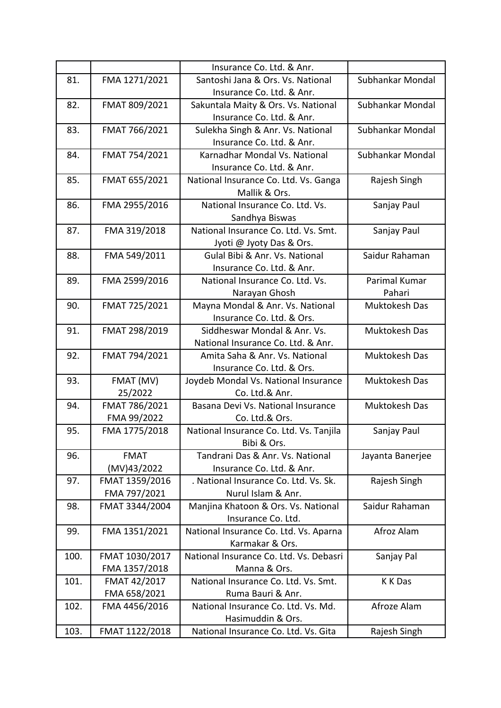|      |                | Insurance Co. Ltd. & Anr.               |                  |
|------|----------------|-----------------------------------------|------------------|
| 81.  | FMA 1271/2021  | Santoshi Jana & Ors. Vs. National       | Subhankar Mondal |
|      |                | Insurance Co. Ltd. & Anr.               |                  |
| 82.  | FMAT 809/2021  | Sakuntala Maity & Ors. Vs. National     | Subhankar Mondal |
|      |                | Insurance Co. Ltd. & Anr.               |                  |
| 83.  | FMAT 766/2021  | Sulekha Singh & Anr. Vs. National       | Subhankar Mondal |
|      |                | Insurance Co. Ltd. & Anr.               |                  |
| 84.  | FMAT 754/2021  | Karnadhar Mondal Vs. National           | Subhankar Mondal |
|      |                | Insurance Co. Ltd. & Anr.               |                  |
| 85.  | FMAT 655/2021  | National Insurance Co. Ltd. Vs. Ganga   | Rajesh Singh     |
|      |                | Mallik & Ors.                           |                  |
| 86.  | FMA 2955/2016  | National Insurance Co. Ltd. Vs.         | Sanjay Paul      |
|      |                | Sandhya Biswas                          |                  |
| 87.  | FMA 319/2018   | National Insurance Co. Ltd. Vs. Smt.    | Sanjay Paul      |
|      |                | Jyoti @ Jyoty Das & Ors.                |                  |
| 88.  | FMA 549/2011   | Gulal Bibi & Anr. Vs. National          | Saidur Rahaman   |
|      |                | Insurance Co. Ltd. & Anr.               |                  |
| 89.  | FMA 2599/2016  | National Insurance Co. Ltd. Vs.         | Parimal Kumar    |
|      |                | Narayan Ghosh                           | Pahari           |
| 90.  | FMAT 725/2021  | Mayna Mondal & Anr. Vs. National        | Muktokesh Das    |
|      |                | Insurance Co. Ltd. & Ors.               |                  |
| 91.  | FMAT 298/2019  | Siddheswar Mondal & Anr. Vs.            | Muktokesh Das    |
|      |                | National Insurance Co. Ltd. & Anr.      |                  |
| 92.  | FMAT 794/2021  | Amita Saha & Anr. Vs. National          | Muktokesh Das    |
|      |                | Insurance Co. Ltd. & Ors.               |                  |
| 93.  | FMAT (MV)      | Joydeb Mondal Vs. National Insurance    | Muktokesh Das    |
|      | 25/2022        | Co. Ltd.& Anr.                          |                  |
| 94.  | FMAT 786/2021  | Basana Devi Vs. National Insurance      | Muktokesh Das    |
|      | FMA 99/2022    | Co. Ltd.& Ors.                          |                  |
| 95.  | FMA 1775/2018  | National Insurance Co. Ltd. Vs. Tanjila | Sanjay Paul      |
|      |                | Bibi & Ors.                             |                  |
| 96.  | <b>FMAT</b>    | Tandrani Das & Anr. Vs. National        | Jayanta Banerjee |
|      | (MV)43/2022    | Insurance Co. Ltd. & Anr.               |                  |
| 97.  | FMAT 1359/2016 | . National Insurance Co. Ltd. Vs. Sk.   | Rajesh Singh     |
|      | FMA 797/2021   | Nurul Islam & Anr.                      |                  |
| 98.  | FMAT 3344/2004 | Manjina Khatoon & Ors. Vs. National     | Saidur Rahaman   |
|      |                | Insurance Co. Ltd.                      |                  |
| 99.  | FMA 1351/2021  | National Insurance Co. Ltd. Vs. Aparna  | Afroz Alam       |
|      |                | Karmakar & Ors.                         |                  |
| 100. | FMAT 1030/2017 | National Insurance Co. Ltd. Vs. Debasri | Sanjay Pal       |
|      | FMA 1357/2018  | Manna & Ors.                            |                  |
| 101. | FMAT 42/2017   | National Insurance Co. Ltd. Vs. Smt.    | K K Das          |
|      | FMA 658/2021   | Ruma Bauri & Anr.                       |                  |
| 102. | FMA 4456/2016  | National Insurance Co. Ltd. Vs. Md.     | Afroze Alam      |
|      |                | Hasimuddin & Ors.                       |                  |
| 103. | FMAT 1122/2018 | National Insurance Co. Ltd. Vs. Gita    | Rajesh Singh     |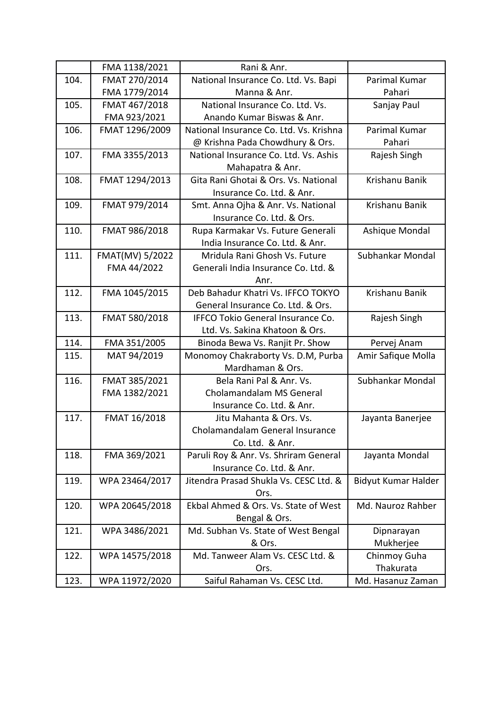|      | FMA 1138/2021   | Rani & Anr.                              |                     |
|------|-----------------|------------------------------------------|---------------------|
| 104. | FMAT 270/2014   | National Insurance Co. Ltd. Vs. Bapi     | Parimal Kumar       |
|      | FMA 1779/2014   | Manna & Anr.                             | Pahari              |
| 105. | FMAT 467/2018   | National Insurance Co. Ltd. Vs.          | Sanjay Paul         |
|      | FMA 923/2021    | Anando Kumar Biswas & Anr.               |                     |
| 106. | FMAT 1296/2009  | National Insurance Co. Ltd. Vs. Krishna  | Parimal Kumar       |
|      |                 | @ Krishna Pada Chowdhury & Ors.          | Pahari              |
| 107. | FMA 3355/2013   | National Insurance Co. Ltd. Vs. Ashis    | Rajesh Singh        |
|      |                 | Mahapatra & Anr.                         |                     |
| 108. | FMAT 1294/2013  | Gita Rani Ghotai & Ors. Vs. National     | Krishanu Banik      |
|      |                 | Insurance Co. Ltd. & Anr.                |                     |
| 109. | FMAT 979/2014   | Smt. Anna Ojha & Anr. Vs. National       | Krishanu Banik      |
|      |                 | Insurance Co. Ltd. & Ors.                |                     |
| 110. | FMAT 986/2018   | Rupa Karmakar Vs. Future Generali        | Ashique Mondal      |
|      |                 | India Insurance Co. Ltd. & Anr.          |                     |
| 111. | FMAT(MV) 5/2022 | Mridula Rani Ghosh Vs. Future            | Subhankar Mondal    |
|      | FMA 44/2022     | Generali India Insurance Co. Ltd. &      |                     |
|      |                 | Anr.                                     |                     |
| 112. | FMA 1045/2015   | Deb Bahadur Khatri Vs. IFFCO TOKYO       | Krishanu Banik      |
|      |                 | General Insurance Co. Ltd. & Ors.        |                     |
| 113. | FMAT 580/2018   | <b>IFFCO Tokio General Insurance Co.</b> | Rajesh Singh        |
|      |                 | Ltd. Vs. Sakina Khatoon & Ors.           |                     |
| 114. | FMA 351/2005    | Binoda Bewa Vs. Ranjit Pr. Show          | Pervej Anam         |
| 115. | MAT 94/2019     | Monomoy Chakraborty Vs. D.M, Purba       | Amir Safique Molla  |
|      |                 | Mardhaman & Ors.                         |                     |
| 116. | FMAT 385/2021   | Bela Rani Pal & Anr. Vs.                 | Subhankar Mondal    |
|      | FMA 1382/2021   | Cholamandalam MS General                 |                     |
|      |                 | Insurance Co. Ltd. & Anr.                |                     |
| 117. | FMAT 16/2018    | Jitu Mahanta & Ors. Vs.                  | Jayanta Banerjee    |
|      |                 | Cholamandalam General Insurance          |                     |
|      |                 | Co. Ltd. & Anr.                          |                     |
| 118. | FMA 369/2021    | Paruli Roy & Anr. Vs. Shriram General    | Jayanta Mondal      |
|      |                 | Insurance Co. Ltd. & Anr.                |                     |
| 119. | WPA 23464/2017  | Jitendra Prasad Shukla Vs. CESC Ltd. &   | Bidyut Kumar Halder |
|      |                 | Ors.                                     |                     |
| 120. | WPA 20645/2018  | Ekbal Ahmed & Ors. Vs. State of West     | Md. Nauroz Rahber   |
|      |                 | Bengal & Ors.                            |                     |
| 121. | WPA 3486/2021   | Md. Subhan Vs. State of West Bengal      | Dipnarayan          |
|      |                 | & Ors.                                   | Mukherjee           |
| 122. | WPA 14575/2018  | Md. Tanweer Alam Vs. CESC Ltd. &         | Chinmoy Guha        |
|      |                 | Ors.                                     | Thakurata           |
| 123. | WPA 11972/2020  | Saiful Rahaman Vs. CESC Ltd.             | Md. Hasanuz Zaman   |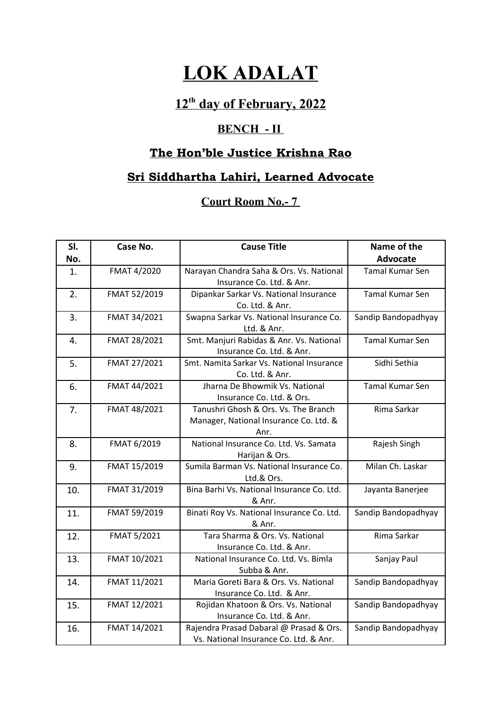# **LOK ADALAT**

## **12th day of February, 2022**

### **BENCH - II**

## **The Hon'ble Justice Krishna Rao**

## **Sri Siddhartha Lahiri, Learned Advocate**

### **Court Room No.- 7**

| SI. | Case No.     | <b>Cause Title</b>                         | Name of the            |
|-----|--------------|--------------------------------------------|------------------------|
| No. |              |                                            | <b>Advocate</b>        |
| 1.  | FMAT 4/2020  | Narayan Chandra Saha & Ors. Vs. National   | <b>Tamal Kumar Sen</b> |
|     |              | Insurance Co. Ltd. & Anr.                  |                        |
| 2.  | FMAT 52/2019 | Dipankar Sarkar Vs. National Insurance     | <b>Tamal Kumar Sen</b> |
|     |              | Co. Ltd. & Anr.                            |                        |
| 3.  | FMAT 34/2021 | Swapna Sarkar Vs. National Insurance Co.   | Sandip Bandopadhyay    |
|     |              | Ltd. & Anr.                                |                        |
| 4.  | FMAT 28/2021 | Smt. Manjuri Rabidas & Anr. Vs. National   | <b>Tamal Kumar Sen</b> |
|     |              | Insurance Co. Ltd. & Anr.                  |                        |
| 5.  | FMAT 27/2021 | Smt. Namita Sarkar Vs. National Insurance  | Sidhi Sethia           |
|     |              | Co. Ltd. & Anr.                            |                        |
| 6.  | FMAT 44/2021 | Jharna De Bhowmik Vs. National             | <b>Tamal Kumar Sen</b> |
|     |              | Insurance Co. Ltd. & Ors.                  |                        |
| 7.  | FMAT 48/2021 | Tanushri Ghosh & Ors. Vs. The Branch       | Rima Sarkar            |
|     |              | Manager, National Insurance Co. Ltd. &     |                        |
|     |              | Anr.                                       |                        |
| 8.  | FMAT 6/2019  | National Insurance Co. Ltd. Vs. Samata     | Rajesh Singh           |
|     |              | Harijan & Ors.                             |                        |
| 9.  | FMAT 15/2019 | Sumila Barman Vs. National Insurance Co.   | Milan Ch. Laskar       |
|     |              | Ltd.& Ors.                                 |                        |
| 10. | FMAT 31/2019 | Bina Barhi Vs. National Insurance Co. Ltd. | Jayanta Banerjee       |
|     |              | & Anr.                                     |                        |
| 11. | FMAT 59/2019 | Binati Roy Vs. National Insurance Co. Ltd. | Sandip Bandopadhyay    |
|     |              | & Anr.                                     |                        |
| 12. | FMAT 5/2021  | Tara Sharma & Ors. Vs. National            | Rima Sarkar            |
|     |              | Insurance Co. Ltd. & Anr.                  |                        |
| 13. | FMAT 10/2021 | National Insurance Co. Ltd. Vs. Bimla      | Sanjay Paul            |
|     |              | Subba & Anr.                               |                        |
| 14. | FMAT 11/2021 | Maria Goreti Bara & Ors. Vs. National      | Sandip Bandopadhyay    |
|     |              | Insurance Co. Ltd. & Anr.                  |                        |
| 15. | FMAT 12/2021 | Rojidan Khatoon & Ors. Vs. National        | Sandip Bandopadhyay    |
|     |              | Insurance Co. Ltd. & Anr.                  |                        |
| 16. | FMAT 14/2021 | Rajendra Prasad Dabaral @ Prasad & Ors.    | Sandip Bandopadhyay    |
|     |              | Vs. National Insurance Co. Ltd. & Anr.     |                        |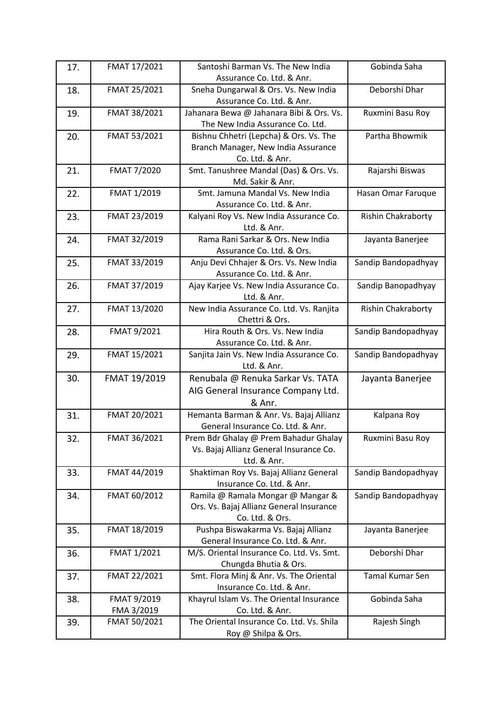| 17. | FMAT 17/2021 | Santoshi Barman Vs. The New India                          | Gobinda Saha        |
|-----|--------------|------------------------------------------------------------|---------------------|
|     |              | Assurance Co. Ltd. & Anr.                                  |                     |
| 18. | FMAT 25/2021 | Sneha Dungarwal & Ors. Vs. New India                       | Deborshi Dhar       |
|     |              | Assurance Co. Ltd. & Anr.                                  |                     |
| 19. | FMAT 38/2021 | Jahanara Bewa @ Jahanara Bibi & Ors. Vs.                   | Ruxmini Basu Roy    |
|     |              | The New India Assurance Co. Ltd.                           |                     |
| 20. | FMAT 53/2021 | Bishnu Chhetri (Lepcha) & Ors. Vs. The                     | Partha Bhowmik      |
|     |              | Branch Manager, New India Assurance                        |                     |
|     |              | Co. Ltd. & Anr.                                            |                     |
| 21. | FMAT 7/2020  | Smt. Tanushree Mandal (Das) & Ors. Vs.<br>Md. Sakir & Anr. | Rajarshi Biswas     |
| 22. | FMAT 1/2019  | Smt. Jamuna Mandal Vs. New India                           | Hasan Omar Faruque  |
|     |              | Assurance Co. Ltd. & Anr.                                  |                     |
| 23. | FMAT 23/2019 | Kalyani Roy Vs. New India Assurance Co.                    | Rishin Chakraborty  |
|     |              | Ltd. & Anr.                                                |                     |
| 24. | FMAT 32/2019 | Rama Rani Sarkar & Ors. New India                          | Jayanta Banerjee    |
|     |              | Assurance Co. Ltd. & Ors.                                  |                     |
| 25. | FMAT 33/2019 | Anju Devi Chhajer & Ors. Vs. New India                     | Sandip Bandopadhyay |
|     |              | Assurance Co. Ltd. & Anr.                                  |                     |
| 26. | FMAT 37/2019 | Ajay Karjee Vs. New India Assurance Co.                    | Sandip Banopadhyay  |
|     |              | Ltd. & Anr.                                                |                     |
| 27. | FMAT 13/2020 | New India Assurance Co. Ltd. Vs. Ranjita                   | Rishin Chakraborty  |
|     |              | Chettri & Ors.                                             |                     |
| 28. | FMAT 9/2021  | Hira Routh & Ors. Vs. New India                            | Sandip Bandopadhyay |
|     |              | Assurance Co. Ltd. & Anr.                                  |                     |
| 29. | FMAT 15/2021 | Sanjita Jain Vs. New India Assurance Co.                   | Sandip Bandopadhyay |
|     |              | Ltd. & Anr.                                                |                     |
| 30. | FMAT 19/2019 | Renubala @ Renuka Sarkar Vs. TATA                          | Jayanta Banerjee    |
|     |              | AIG General Insurance Company Ltd.                         |                     |
|     |              | & Anr.                                                     |                     |
| 31. | FMAT 20/2021 | Hemanta Barman & Anr. Vs. Bajaj Allianz                    | Kalpana Roy         |
|     |              | General Insurance Co. Ltd. & Anr.                          |                     |
| 32. | FMAT 36/2021 | Prem Bdr Ghalay @ Prem Bahadur Ghalay                      | Ruxmini Basu Roy    |
|     |              | Vs. Bajaj Allianz General Insurance Co.                    |                     |
|     |              | Ltd. & Anr.                                                |                     |
| 33. | FMAT 44/2019 | Shaktiman Roy Vs. Bajaj Allianz General                    | Sandip Bandopadhyay |
|     |              | Insurance Co. Ltd. & Anr.                                  |                     |
| 34. | FMAT 60/2012 | Ramila @ Ramala Mongar @ Mangar &                          | Sandip Bandopadhyay |
|     |              | Ors. Vs. Bajaj Allianz General Insurance                   |                     |
|     |              | Co. Ltd. & Ors.                                            |                     |
| 35. | FMAT 18/2019 | Pushpa Biswakarma Vs. Bajaj Allianz                        | Jayanta Banerjee    |
|     |              | General Insurance Co. Ltd. & Anr.                          |                     |
| 36. | FMAT 1/2021  | M/S. Oriental Insurance Co. Ltd. Vs. Smt.                  | Deborshi Dhar       |
|     |              | Chungda Bhutia & Ors.                                      |                     |
| 37. | FMAT 22/2021 | Smt. Flora Minj & Anr. Vs. The Oriental                    | Tamal Kumar Sen     |
|     |              | Insurance Co. Ltd. & Anr.                                  |                     |
| 38. | FMAT 9/2019  | Khayrul Islam Vs. The Oriental Insurance                   | Gobinda Saha        |
|     | FMA 3/2019   | Co. Ltd. & Anr.                                            |                     |
| 39. | FMAT 50/2021 | The Oriental Insurance Co. Ltd. Vs. Shila                  | Rajesh Singh        |
|     |              | Roy @ Shilpa & Ors.                                        |                     |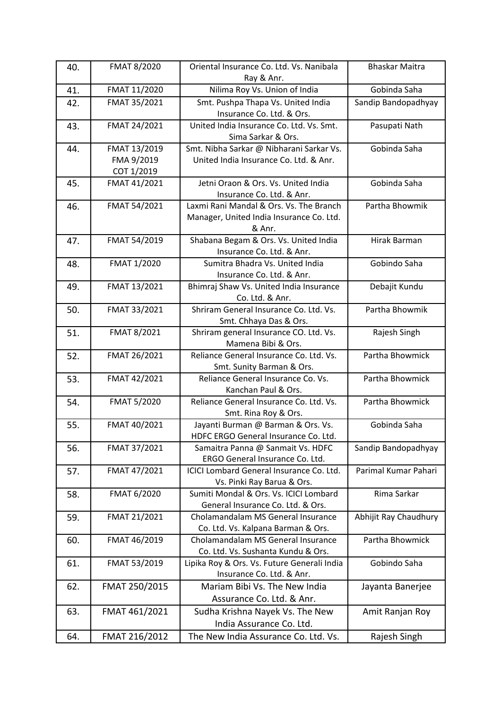| 40. | FMAT 8/2020   | Oriental Insurance Co. Ltd. Vs. Nanibala                                 | <b>Bhaskar Maitra</b> |
|-----|---------------|--------------------------------------------------------------------------|-----------------------|
|     |               | Ray & Anr.                                                               | Gobinda Saha          |
| 41. | FMAT 11/2020  | Nilima Roy Vs. Union of India                                            |                       |
| 42. | FMAT 35/2021  | Smt. Pushpa Thapa Vs. United India<br>Insurance Co. Ltd. & Ors.          | Sandip Bandopadhyay   |
| 43. | FMAT 24/2021  | United India Insurance Co. Ltd. Vs. Smt.                                 | Pasupati Nath         |
|     |               | Sima Sarkar & Ors.                                                       |                       |
| 44. | FMAT 13/2019  | Smt. Nibha Sarkar @ Nibharani Sarkar Vs.                                 | Gobinda Saha          |
|     | FMA 9/2019    | United India Insurance Co. Ltd. & Anr.                                   |                       |
|     | COT 1/2019    |                                                                          |                       |
| 45. | FMAT 41/2021  | Jetni Oraon & Ors. Vs. United India                                      | Gobinda Saha          |
|     |               | Insurance Co. Ltd. & Anr.                                                |                       |
| 46. | FMAT 54/2021  | Laxmi Rani Mandal & Ors. Vs. The Branch                                  | Partha Bhowmik        |
|     |               | Manager, United India Insurance Co. Ltd.                                 |                       |
|     |               | & Anr.                                                                   |                       |
| 47. | FMAT 54/2019  | Shabana Begam & Ors. Vs. United India                                    | Hirak Barman          |
|     |               | Insurance Co. Ltd. & Anr.                                                |                       |
| 48. | FMAT 1/2020   | Sumitra Bhadra Vs. United India                                          | Gobindo Saha          |
|     |               | Insurance Co. Ltd. & Anr.                                                |                       |
| 49. | FMAT 13/2021  | Bhimraj Shaw Vs. United India Insurance                                  | Debajit Kundu         |
|     |               | Co. Ltd. & Anr.                                                          |                       |
| 50. | FMAT 33/2021  | Shriram General Insurance Co. Ltd. Vs.                                   | Partha Bhowmik        |
|     |               | Smt. Chhaya Das & Ors.                                                   |                       |
| 51. | FMAT 8/2021   | Shriram general Insurance CO. Ltd. Vs.<br>Mamena Bibi & Ors.             | Rajesh Singh          |
| 52. | FMAT 26/2021  | Reliance General Insurance Co. Ltd. Vs.                                  | Partha Bhowmick       |
|     |               | Smt. Sunity Barman & Ors.                                                |                       |
| 53. | FMAT 42/2021  | Reliance General Insurance Co. Vs.                                       | Partha Bhowmick       |
|     |               | Kanchan Paul & Ors.                                                      |                       |
| 54. | FMAT 5/2020   | Reliance General Insurance Co. Ltd. Vs.                                  | Partha Bhowmick       |
|     |               | Smt. Rina Roy & Ors.                                                     |                       |
| 55. | FMAT 40/2021  | Jayanti Burman @ Barman & Ors. Vs.                                       | Gobinda Saha          |
|     |               | HDFC ERGO General Insurance Co. Ltd.                                     |                       |
| 56. | FMAT 37/2021  | Samaitra Panna @ Sanmait Vs. HDFC                                        | Sandip Bandopadhyay   |
|     |               | ERGO General Insurance Co. Ltd.                                          |                       |
| 57. | FMAT 47/2021  | ICICI Lombard General Insurance Co. Ltd.                                 | Parimal Kumar Pahari  |
|     |               | Vs. Pinki Ray Barua & Ors.                                               |                       |
| 58. | FMAT 6/2020   | Sumiti Mondal & Ors. Vs. ICICI Lombard                                   | Rima Sarkar           |
|     |               | General Insurance Co. Ltd. & Ors.                                        |                       |
| 59. | FMAT 21/2021  | Cholamandalam MS General Insurance<br>Co. Ltd. Vs. Kalpana Barman & Ors. | Abhijit Ray Chaudhury |
|     | FMAT 46/2019  | Cholamandalam MS General Insurance                                       | Partha Bhowmick       |
| 60. |               | Co. Ltd. Vs. Sushanta Kundu & Ors.                                       |                       |
| 61. | FMAT 53/2019  | Lipika Roy & Ors. Vs. Future Generali India                              | Gobindo Saha          |
|     |               | Insurance Co. Ltd. & Anr.                                                |                       |
| 62. | FMAT 250/2015 | Mariam Bibi Vs. The New India                                            | Jayanta Banerjee      |
|     |               | Assurance Co. Ltd. & Anr.                                                |                       |
| 63. | FMAT 461/2021 | Sudha Krishna Nayek Vs. The New                                          | Amit Ranjan Roy       |
|     |               | India Assurance Co. Ltd.                                                 |                       |
|     |               |                                                                          |                       |
| 64. | FMAT 216/2012 | The New India Assurance Co. Ltd. Vs.                                     | Rajesh Singh          |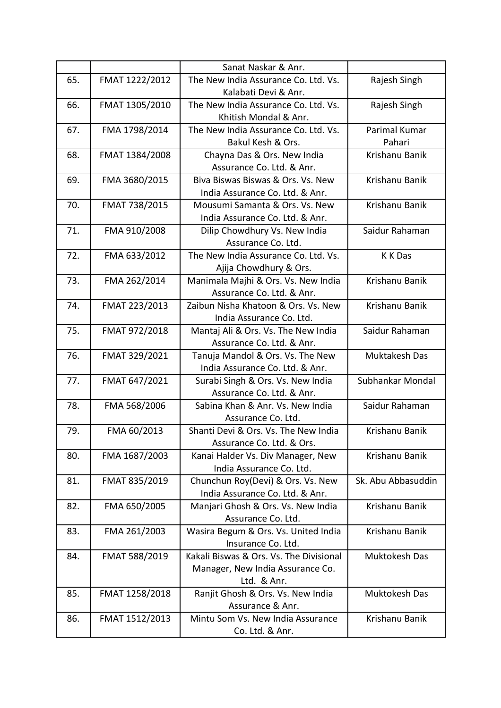|     |                | Sanat Naskar & Anr.                     |                    |
|-----|----------------|-----------------------------------------|--------------------|
| 65. | FMAT 1222/2012 | The New India Assurance Co. Ltd. Vs.    | Rajesh Singh       |
|     |                | Kalabati Devi & Anr.                    |                    |
| 66. | FMAT 1305/2010 | The New India Assurance Co. Ltd. Vs.    | Rajesh Singh       |
|     |                | Khitish Mondal & Anr.                   |                    |
| 67. | FMA 1798/2014  | The New India Assurance Co. Ltd. Vs.    | Parimal Kumar      |
|     |                | Bakul Kesh & Ors.                       | Pahari             |
| 68. | FMAT 1384/2008 | Chayna Das & Ors. New India             | Krishanu Banik     |
|     |                | Assurance Co. Ltd. & Anr.               |                    |
| 69. | FMA 3680/2015  | Biva Biswas Biswas & Ors. Vs. New       | Krishanu Banik     |
|     |                | India Assurance Co. Ltd. & Anr.         |                    |
| 70. | FMAT 738/2015  | Mousumi Samanta & Ors. Vs. New          | Krishanu Banik     |
|     |                | India Assurance Co. Ltd. & Anr.         |                    |
| 71. | FMA 910/2008   | Dilip Chowdhury Vs. New India           | Saidur Rahaman     |
|     |                | Assurance Co. Ltd.                      |                    |
| 72. | FMA 633/2012   | The New India Assurance Co. Ltd. Vs.    | K K Das            |
|     |                | Ajija Chowdhury & Ors.                  |                    |
| 73. | FMA 262/2014   | Manimala Majhi & Ors. Vs. New India     | Krishanu Banik     |
|     |                | Assurance Co. Ltd. & Anr.               |                    |
| 74. | FMAT 223/2013  | Zaibun Nisha Khatoon & Ors. Vs. New     | Krishanu Banik     |
|     |                | India Assurance Co. Ltd.                |                    |
| 75. | FMAT 972/2018  | Mantaj Ali & Ors. Vs. The New India     | Saidur Rahaman     |
|     |                | Assurance Co. Ltd. & Anr.               |                    |
| 76. | FMAT 329/2021  | Tanuja Mandol & Ors. Vs. The New        | Muktakesh Das      |
|     |                | India Assurance Co. Ltd. & Anr.         |                    |
| 77. | FMAT 647/2021  | Surabi Singh & Ors. Vs. New India       | Subhankar Mondal   |
|     |                | Assurance Co. Ltd. & Anr.               |                    |
| 78. | FMA 568/2006   | Sabina Khan & Anr. Vs. New India        | Saidur Rahaman     |
|     |                | Assurance Co. Ltd.                      |                    |
| 79. | FMA 60/2013    | Shanti Devi & Ors. Vs. The New India    | Krishanu Banik     |
|     |                | Assurance Co. Ltd. & Ors.               |                    |
| 80. | FMA 1687/2003  | Kanai Halder Vs. Div Manager, New       | Krishanu Banik     |
|     |                | India Assurance Co. Ltd.                |                    |
| 81. | FMAT 835/2019  | Chunchun Roy(Devi) & Ors. Vs. New       | Sk. Abu Abbasuddin |
|     |                | India Assurance Co. Ltd. & Anr.         |                    |
| 82. | FMA 650/2005   | Manjari Ghosh & Ors. Vs. New India      | Krishanu Banik     |
|     |                | Assurance Co. Ltd.                      |                    |
| 83. | FMA 261/2003   | Wasira Begum & Ors. Vs. United India    | Krishanu Banik     |
|     |                | Insurance Co. Ltd.                      |                    |
| 84. | FMAT 588/2019  | Kakali Biswas & Ors. Vs. The Divisional | Muktokesh Das      |
|     |                | Manager, New India Assurance Co.        |                    |
|     |                | Ltd. & Anr.                             |                    |
| 85. | FMAT 1258/2018 | Ranjit Ghosh & Ors. Vs. New India       | Muktokesh Das      |
|     |                | Assurance & Anr.                        |                    |
| 86. | FMAT 1512/2013 | Mintu Som Vs. New India Assurance       | Krishanu Banik     |
|     |                | Co. Ltd. & Anr.                         |                    |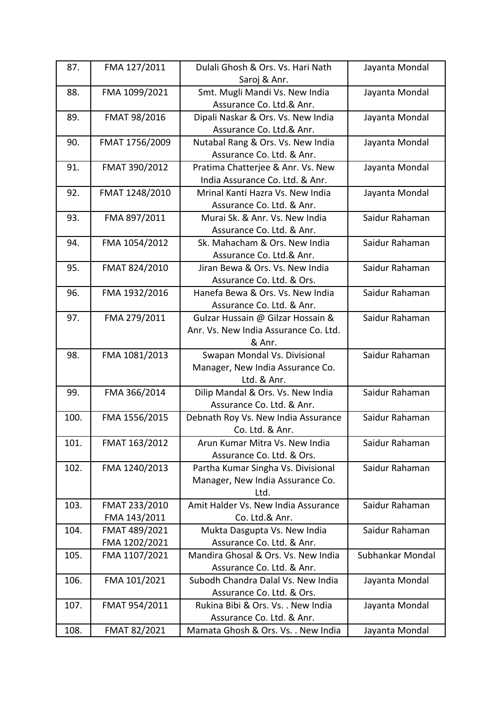| 87.  | FMA 127/2011   | Dulali Ghosh & Ors. Vs. Hari Nath     | Jayanta Mondal   |
|------|----------------|---------------------------------------|------------------|
|      |                | Saroj & Anr.                          |                  |
| 88.  | FMA 1099/2021  | Smt. Mugli Mandi Vs. New India        | Jayanta Mondal   |
|      |                | Assurance Co. Ltd.& Anr.              |                  |
| 89.  | FMAT 98/2016   | Dipali Naskar & Ors. Vs. New India    | Jayanta Mondal   |
|      |                | Assurance Co. Ltd.& Anr.              |                  |
| 90.  | FMAT 1756/2009 | Nutabal Rang & Ors. Vs. New India     | Jayanta Mondal   |
|      |                | Assurance Co. Ltd. & Anr.             |                  |
| 91.  | FMAT 390/2012  | Pratima Chatterjee & Anr. Vs. New     | Jayanta Mondal   |
|      |                | India Assurance Co. Ltd. & Anr.       |                  |
| 92.  | FMAT 1248/2010 | Mrinal Kanti Hazra Vs. New India      | Jayanta Mondal   |
|      |                | Assurance Co. Ltd. & Anr.             |                  |
| 93.  | FMA 897/2011   | Murai Sk. & Anr. Vs. New India        | Saidur Rahaman   |
|      |                | Assurance Co. Ltd. & Anr.             |                  |
| 94.  | FMA 1054/2012  | Sk. Mahacham & Ors. New India         | Saidur Rahaman   |
|      |                | Assurance Co. Ltd.& Anr.              |                  |
| 95.  | FMAT 824/2010  | Jiran Bewa & Ors. Vs. New India       | Saidur Rahaman   |
|      |                | Assurance Co. Ltd. & Ors.             |                  |
| 96.  | FMA 1932/2016  | Hanefa Bewa & Ors. Vs. New India      | Saidur Rahaman   |
|      |                | Assurance Co. Ltd. & Anr.             |                  |
| 97.  | FMA 279/2011   | Gulzar Hussain @ Gilzar Hossain &     | Saidur Rahaman   |
|      |                | Anr. Vs. New India Assurance Co. Ltd. |                  |
|      |                | & Anr.                                |                  |
| 98.  | FMA 1081/2013  | Swapan Mondal Vs. Divisional          | Saidur Rahaman   |
|      |                | Manager, New India Assurance Co.      |                  |
|      |                | Ltd. & Anr.                           |                  |
| 99.  | FMA 366/2014   | Dilip Mandal & Ors. Vs. New India     | Saidur Rahaman   |
|      |                | Assurance Co. Ltd. & Anr.             |                  |
| 100. | FMA 1556/2015  | Debnath Roy Vs. New India Assurance   | Saidur Rahaman   |
|      |                | Co. Ltd. & Anr.                       |                  |
| 101. | FMAT 163/2012  | Arun Kumar Mitra Vs. New India        | Saidur Rahaman   |
|      |                | Assurance Co. Ltd. & Ors.             |                  |
| 102. | FMA 1240/2013  | Partha Kumar Singha Vs. Divisional    | Saidur Rahaman   |
|      |                | Manager, New India Assurance Co.      |                  |
|      |                | Ltd.                                  |                  |
| 103. | FMAT 233/2010  | Amit Halder Vs. New India Assurance   | Saidur Rahaman   |
|      | FMA 143/2011   | Co. Ltd.& Anr.                        |                  |
| 104. | FMAT 489/2021  | Mukta Dasgupta Vs. New India          | Saidur Rahaman   |
|      | FMA 1202/2021  | Assurance Co. Ltd. & Anr.             |                  |
| 105. | FMA 1107/2021  | Mandira Ghosal & Ors. Vs. New India   | Subhankar Mondal |
|      |                | Assurance Co. Ltd. & Anr.             |                  |
| 106. | FMA 101/2021   | Subodh Chandra Dalal Vs. New India    | Jayanta Mondal   |
|      |                | Assurance Co. Ltd. & Ors.             |                  |
| 107. | FMAT 954/2011  | Rukina Bibi & Ors. Vs. . New India    | Jayanta Mondal   |
|      |                | Assurance Co. Ltd. & Anr.             |                  |
| 108. | FMAT 82/2021   | Mamata Ghosh & Ors. Vs. . New India   | Jayanta Mondal   |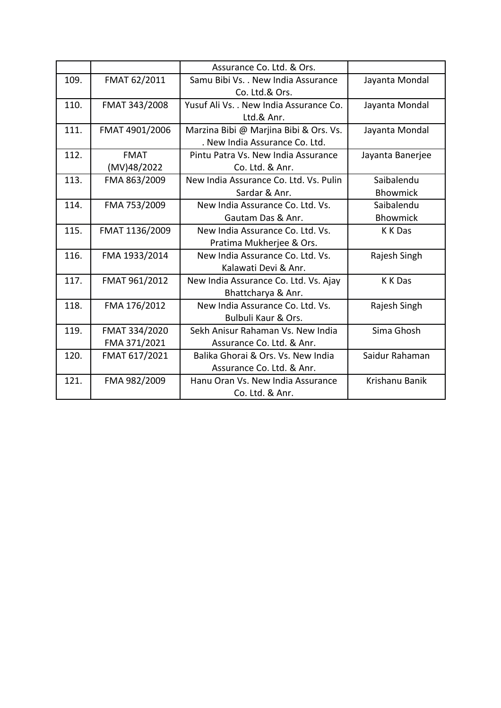|      |                | Assurance Co. Ltd. & Ors.               |                  |
|------|----------------|-----------------------------------------|------------------|
| 109. | FMAT 62/2011   | Samu Bibi Vs. . New India Assurance     | Jayanta Mondal   |
|      |                | Co. Ltd.& Ors.                          |                  |
| 110. | FMAT 343/2008  | Yusuf Ali Vs. . New India Assurance Co. | Jayanta Mondal   |
|      |                | Ltd.& Anr.                              |                  |
| 111. | FMAT 4901/2006 | Marzina Bibi @ Marjina Bibi & Ors. Vs.  | Jayanta Mondal   |
|      |                | . New India Assurance Co. Ltd.          |                  |
| 112. | <b>FMAT</b>    | Pintu Patra Vs. New India Assurance     | Jayanta Banerjee |
|      | (MV)48/2022    | Co. Ltd. & Anr.                         |                  |
| 113. | FMA 863/2009   | New India Assurance Co. Ltd. Vs. Pulin  | Saibalendu       |
|      |                | Sardar & Anr.                           | <b>Bhowmick</b>  |
| 114. | FMA 753/2009   | New India Assurance Co. Ltd. Vs.        | Saibalendu       |
|      |                | Gautam Das & Anr.                       | <b>Bhowmick</b>  |
| 115. | FMAT 1136/2009 | New India Assurance Co. Ltd. Vs.        | K K Das          |
|      |                | Pratima Mukherjee & Ors.                |                  |
| 116. | FMA 1933/2014  | New India Assurance Co. Ltd. Vs.        | Rajesh Singh     |
|      |                | Kalawati Devi & Anr.                    |                  |
| 117. | FMAT 961/2012  | New India Assurance Co. Ltd. Vs. Ajay   | K K Das          |
|      |                | Bhattcharya & Anr.                      |                  |
| 118. | FMA 176/2012   | New India Assurance Co. Ltd. Vs.        | Rajesh Singh     |
|      |                | Bulbuli Kaur & Ors.                     |                  |
| 119. | FMAT 334/2020  | Sekh Anisur Rahaman Vs. New India       | Sima Ghosh       |
|      | FMA 371/2021   | Assurance Co. Ltd. & Anr.               |                  |
| 120. | FMAT 617/2021  | Balika Ghorai & Ors. Vs. New India      | Saidur Rahaman   |
|      |                | Assurance Co. Ltd. & Anr.               |                  |
| 121. | FMA 982/2009   | Hanu Oran Vs. New India Assurance       | Krishanu Banik   |
|      |                | Co. Ltd. & Anr.                         |                  |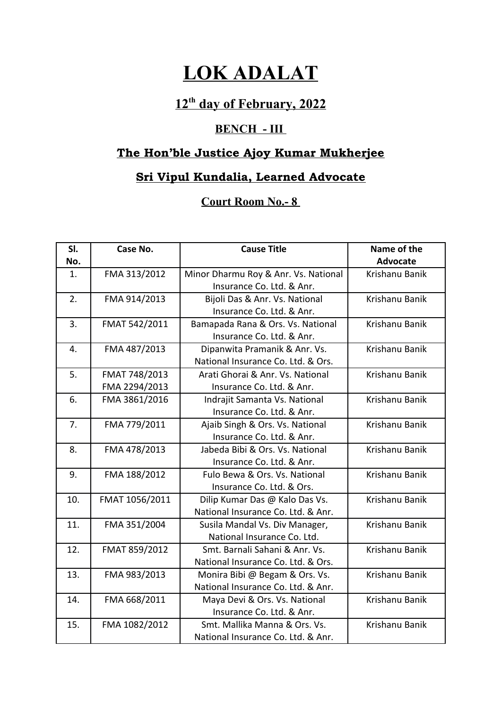# **LOK ADALAT**

## **12th day of February, 2022**

#### **BENCH - III**

# **The Hon'ble Justice Ajoy Kumar Mukherjee**

## **Sri Vipul Kundalia, Learned Advocate**

#### **Court Room No.- 8**

| SI.<br>No. | Case No.       | <b>Cause Title</b>                   | Name of the<br>Advocate |
|------------|----------------|--------------------------------------|-------------------------|
| 1.         | FMA 313/2012   | Minor Dharmu Roy & Anr. Vs. National | Krishanu Banik          |
|            |                | Insurance Co. Ltd. & Anr.            |                         |
| 2.         | FMA 914/2013   | Bijoli Das & Anr. Vs. National       | Krishanu Banik          |
|            |                | Insurance Co. Ltd. & Anr.            |                         |
| 3.         | FMAT 542/2011  | Bamapada Rana & Ors. Vs. National    | Krishanu Banik          |
|            |                | Insurance Co. Ltd. & Anr.            |                         |
| 4.         | FMA 487/2013   | Dipanwita Pramanik & Anr. Vs.        | Krishanu Banik          |
|            |                | National Insurance Co. Ltd. & Ors.   |                         |
| 5.         | FMAT 748/2013  | Arati Ghorai & Anr. Vs. National     | Krishanu Banik          |
|            | FMA 2294/2013  | Insurance Co. Ltd. & Anr.            |                         |
| 6.         | FMA 3861/2016  | Indrajit Samanta Vs. National        | Krishanu Banik          |
|            |                | Insurance Co. Ltd. & Anr.            |                         |
| 7.         | FMA 779/2011   | Ajaib Singh & Ors. Vs. National      | Krishanu Banik          |
|            |                | Insurance Co. Ltd. & Anr.            |                         |
| 8.         | FMA 478/2013   | Jabeda Bibi & Ors. Vs. National      | Krishanu Banik          |
|            |                | Insurance Co. Ltd. & Anr.            |                         |
| 9.         | FMA 188/2012   | Fulo Bewa & Ors. Vs. National        | Krishanu Banik          |
|            |                | Insurance Co. Ltd. & Ors.            |                         |
| 10.        | FMAT 1056/2011 | Dilip Kumar Das @ Kalo Das Vs.       | Krishanu Banik          |
|            |                | National Insurance Co. Ltd. & Anr.   |                         |
| 11.        | FMA 351/2004   | Susila Mandal Vs. Div Manager,       | Krishanu Banik          |
|            |                | National Insurance Co. Ltd.          |                         |
| 12.        | FMAT 859/2012  | Smt. Barnali Sahani & Anr. Vs.       | Krishanu Banik          |
|            |                | National Insurance Co. Ltd. & Ors.   |                         |
| 13.        | FMA 983/2013   | Monira Bibi @ Begam & Ors. Vs.       | Krishanu Banik          |
|            |                | National Insurance Co. Ltd. & Anr.   |                         |
| 14.        | FMA 668/2011   | Maya Devi & Ors. Vs. National        | Krishanu Banik          |
|            |                | Insurance Co. Ltd. & Anr.            |                         |
| 15.        | FMA 1082/2012  | Smt. Mallika Manna & Ors. Vs.        | Krishanu Banik          |
|            |                | National Insurance Co. Ltd. & Anr.   |                         |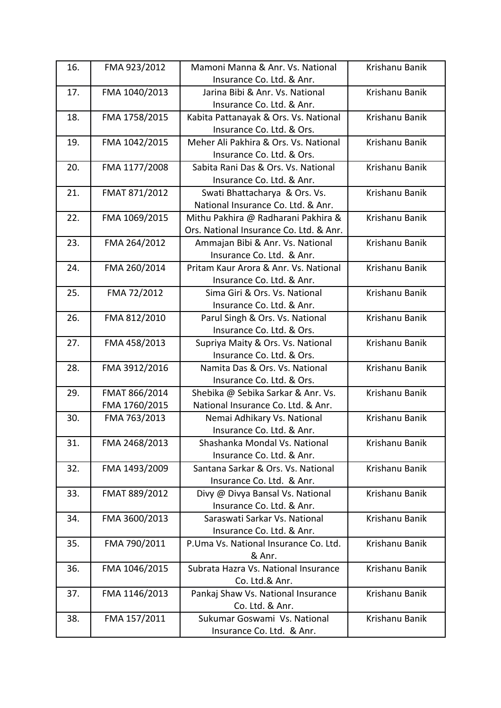| 16. | FMA 923/2012  | Mamoni Manna & Anr. Vs. National        | Krishanu Banik |
|-----|---------------|-----------------------------------------|----------------|
|     |               | Insurance Co. Ltd. & Anr.               |                |
| 17. | FMA 1040/2013 | Jarina Bibi & Anr. Vs. National         | Krishanu Banik |
|     |               | Insurance Co. Ltd. & Anr.               |                |
| 18. | FMA 1758/2015 | Kabita Pattanayak & Ors. Vs. National   | Krishanu Banik |
|     |               | Insurance Co. Ltd. & Ors.               |                |
| 19. | FMA 1042/2015 | Meher Ali Pakhira & Ors. Vs. National   | Krishanu Banik |
|     |               | Insurance Co. Ltd. & Ors.               |                |
| 20. | FMA 1177/2008 | Sabita Rani Das & Ors. Vs. National     | Krishanu Banik |
|     |               | Insurance Co. Ltd. & Anr.               |                |
| 21. | FMAT 871/2012 | Swati Bhattacharya & Ors. Vs.           | Krishanu Banik |
|     |               | National Insurance Co. Ltd. & Anr.      |                |
| 22. | FMA 1069/2015 | Mithu Pakhira @ Radharani Pakhira &     | Krishanu Banik |
|     |               | Ors. National Insurance Co. Ltd. & Anr. |                |
| 23. | FMA 264/2012  | Ammajan Bibi & Anr. Vs. National        | Krishanu Banik |
|     |               | Insurance Co. Ltd. & Anr.               |                |
| 24. | FMA 260/2014  | Pritam Kaur Arora & Anr. Vs. National   | Krishanu Banik |
|     |               | Insurance Co. Ltd. & Anr.               |                |
| 25. | FMA 72/2012   | Sima Giri & Ors. Vs. National           | Krishanu Banik |
|     |               | Insurance Co. Ltd. & Anr.               |                |
| 26. | FMA 812/2010  | Parul Singh & Ors. Vs. National         | Krishanu Banik |
|     |               | Insurance Co. Ltd. & Ors.               |                |
| 27. | FMA 458/2013  | Supriya Maity & Ors. Vs. National       | Krishanu Banik |
|     |               | Insurance Co. Ltd. & Ors.               |                |
| 28. | FMA 3912/2016 | Namita Das & Ors. Vs. National          | Krishanu Banik |
|     |               | Insurance Co. Ltd. & Ors.               |                |
| 29. | FMAT 866/2014 | Shebika @ Sebika Sarkar & Anr. Vs.      | Krishanu Banik |
|     | FMA 1760/2015 | National Insurance Co. Ltd. & Anr.      |                |
| 30. | FMA 763/2013  | Nemai Adhikary Vs. National             | Krishanu Banik |
|     |               | Insurance Co. Ltd. & Anr.               |                |
| 31. | FMA 2468/2013 | Shashanka Mondal Vs. National           | Krishanu Banik |
|     |               | Insurance Co. Ltd. & Anr.               |                |
| 32. | FMA 1493/2009 | Santana Sarkar & Ors. Vs. National      | Krishanu Banik |
|     |               | Insurance Co. Ltd. & Anr.               |                |
| 33. | FMAT 889/2012 | Divy @ Divya Bansal Vs. National        | Krishanu Banik |
|     |               | Insurance Co. Ltd. & Anr.               |                |
| 34. | FMA 3600/2013 | Saraswati Sarkar Vs. National           | Krishanu Banik |
|     |               | Insurance Co. Ltd. & Anr.               |                |
| 35. | FMA 790/2011  | P.Uma Vs. National Insurance Co. Ltd.   | Krishanu Banik |
|     |               | & Anr.                                  |                |
| 36. | FMA 1046/2015 | Subrata Hazra Vs. National Insurance    | Krishanu Banik |
|     |               | Co. Ltd.& Anr.                          |                |
| 37. | FMA 1146/2013 | Pankaj Shaw Vs. National Insurance      | Krishanu Banik |
|     |               | Co. Ltd. & Anr.                         |                |
| 38. | FMA 157/2011  | Sukumar Goswami Vs. National            | Krishanu Banik |
|     |               | Insurance Co. Ltd. & Anr.               |                |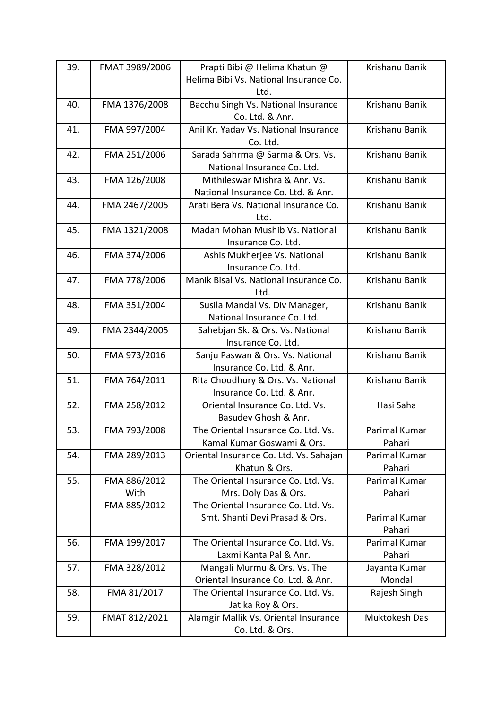| 39. | FMAT 3989/2006 | Prapti Bibi @ Helima Khatun @           | Krishanu Banik |
|-----|----------------|-----------------------------------------|----------------|
|     |                | Helima Bibi Vs. National Insurance Co.  |                |
|     |                | Ltd.                                    |                |
| 40. | FMA 1376/2008  | Bacchu Singh Vs. National Insurance     | Krishanu Banik |
|     |                | Co. Ltd. & Anr.                         |                |
| 41. | FMA 997/2004   | Anil Kr. Yadav Vs. National Insurance   | Krishanu Banik |
|     |                | Co. Ltd.                                |                |
| 42. | FMA 251/2006   | Sarada Sahrma @ Sarma & Ors. Vs.        | Krishanu Banik |
|     |                | National Insurance Co. Ltd.             |                |
| 43. | FMA 126/2008   | Mithileswar Mishra & Anr. Vs.           | Krishanu Banik |
|     |                | National Insurance Co. Ltd. & Anr.      |                |
| 44. | FMA 2467/2005  | Arati Bera Vs. National Insurance Co.   | Krishanu Banik |
|     |                | Ltd.                                    |                |
| 45. | FMA 1321/2008  | Madan Mohan Mushib Vs. National         | Krishanu Banik |
|     |                | Insurance Co. Ltd.                      |                |
| 46. | FMA 374/2006   | Ashis Mukherjee Vs. National            | Krishanu Banik |
|     |                | Insurance Co. Ltd.                      |                |
| 47. | FMA 778/2006   | Manik Bisal Vs. National Insurance Co.  | Krishanu Banik |
|     |                | Ltd.                                    |                |
| 48. | FMA 351/2004   | Susila Mandal Vs. Div Manager,          | Krishanu Banik |
|     |                | National Insurance Co. Ltd.             |                |
| 49. | FMA 2344/2005  | Sahebjan Sk. & Ors. Vs. National        | Krishanu Banik |
|     |                | Insurance Co. Ltd.                      |                |
| 50. | FMA 973/2016   | Sanju Paswan & Ors. Vs. National        | Krishanu Banik |
|     |                | Insurance Co. Ltd. & Anr.               |                |
| 51. | FMA 764/2011   | Rita Choudhury & Ors. Vs. National      | Krishanu Banik |
|     |                | Insurance Co. Ltd. & Anr.               |                |
| 52. | FMA 258/2012   | Oriental Insurance Co. Ltd. Vs.         | Hasi Saha      |
|     |                | Basudev Ghosh & Anr.                    |                |
| 53. | FMA 793/2008   | The Oriental Insurance Co. Ltd. Vs.     | Parimal Kumar  |
|     |                | Kamal Kumar Goswami & Ors.              | Pahari         |
| 54. | FMA 289/2013   | Oriental Insurance Co. Ltd. Vs. Sahajan | Parimal Kumar  |
|     |                | Khatun & Ors.                           | Pahari         |
| 55. | FMA 886/2012   | The Oriental Insurance Co. Ltd. Vs.     | Parimal Kumar  |
|     | With           | Mrs. Doly Das & Ors.                    | Pahari         |
|     | FMA 885/2012   | The Oriental Insurance Co. Ltd. Vs.     |                |
|     |                | Smt. Shanti Devi Prasad & Ors.          | Parimal Kumar  |
|     |                |                                         | Pahari         |
| 56. | FMA 199/2017   | The Oriental Insurance Co. Ltd. Vs.     | Parimal Kumar  |
|     |                | Laxmi Kanta Pal & Anr.                  | Pahari         |
| 57. | FMA 328/2012   | Mangali Murmu & Ors. Vs. The            | Jayanta Kumar  |
|     |                | Oriental Insurance Co. Ltd. & Anr.      | Mondal         |
| 58. | FMA 81/2017    | The Oriental Insurance Co. Ltd. Vs.     | Rajesh Singh   |
|     |                | Jatika Roy & Ors.                       |                |
| 59. | FMAT 812/2021  | Alamgir Mallik Vs. Oriental Insurance   | Muktokesh Das  |
|     |                | Co. Ltd. & Ors.                         |                |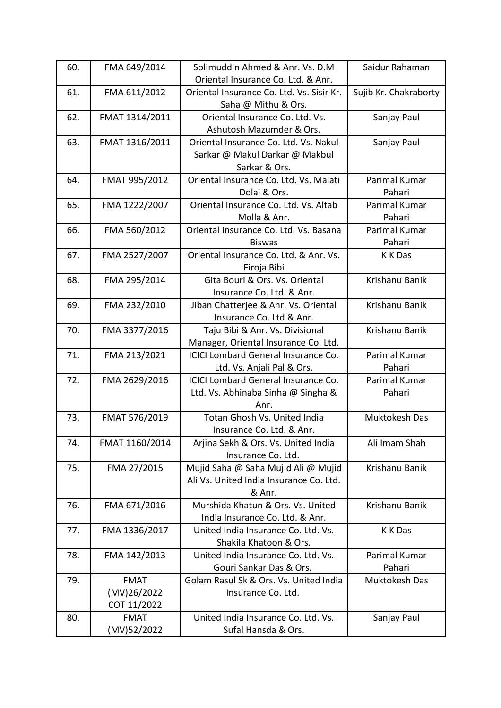| 60. | FMA 649/2014   | Solimuddin Ahmed & Anr. Vs. D.M            | Saidur Rahaman        |
|-----|----------------|--------------------------------------------|-----------------------|
|     |                | Oriental Insurance Co. Ltd. & Anr.         |                       |
| 61. | FMA 611/2012   | Oriental Insurance Co. Ltd. Vs. Sisir Kr.  | Sujib Kr. Chakraborty |
|     |                | Saha @ Mithu & Ors.                        |                       |
| 62. | FMAT 1314/2011 | Oriental Insurance Co. Ltd. Vs.            | Sanjay Paul           |
|     |                | Ashutosh Mazumder & Ors.                   |                       |
| 63. | FMAT 1316/2011 | Oriental Insurance Co. Ltd. Vs. Nakul      | Sanjay Paul           |
|     |                | Sarkar @ Makul Darkar @ Makbul             |                       |
|     |                | Sarkar & Ors.                              |                       |
| 64. | FMAT 995/2012  | Oriental Insurance Co. Ltd. Vs. Malati     | Parimal Kumar         |
|     |                | Dolai & Ors.                               | Pahari                |
| 65. | FMA 1222/2007  | Oriental Insurance Co. Ltd. Vs. Altab      | Parimal Kumar         |
|     |                | Molla & Anr.                               | Pahari                |
| 66. | FMA 560/2012   | Oriental Insurance Co. Ltd. Vs. Basana     | Parimal Kumar         |
|     |                | <b>Biswas</b>                              | Pahari                |
| 67. | FMA 2527/2007  | Oriental Insurance Co. Ltd. & Anr. Vs.     | K K Das               |
|     |                | Firoja Bibi                                |                       |
| 68. | FMA 295/2014   | Gita Bouri & Ors. Vs. Oriental             | Krishanu Banik        |
|     |                | Insurance Co. Ltd. & Anr.                  |                       |
| 69. | FMA 232/2010   | Jiban Chatterjee & Anr. Vs. Oriental       | Krishanu Banik        |
|     |                | Insurance Co. Ltd & Anr.                   |                       |
| 70. | FMA 3377/2016  | Taju Bibi & Anr. Vs. Divisional            | Krishanu Banik        |
|     |                | Manager, Oriental Insurance Co. Ltd.       |                       |
| 71. | FMA 213/2021   | <b>ICICI Lombard General Insurance Co.</b> | Parimal Kumar         |
|     |                | Ltd. Vs. Anjali Pal & Ors.                 | Pahari                |
| 72. | FMA 2629/2016  | <b>ICICI Lombard General Insurance Co.</b> | Parimal Kumar         |
|     |                | Ltd. Vs. Abhinaba Sinha @ Singha &         | Pahari                |
|     |                | Anr.                                       |                       |
| 73. | FMAT 576/2019  | Totan Ghosh Vs. United India               | Muktokesh Das         |
|     |                | Insurance Co. Ltd. & Anr.                  |                       |
| 74. | FMAT 1160/2014 | Arjina Sekh & Ors. Vs. United India        | Ali Imam Shah         |
|     |                | Insurance Co. Ltd.                         |                       |
| 75. | FMA 27/2015    | Mujid Saha @ Saha Mujid Ali @ Mujid        | Krishanu Banik        |
|     |                | Ali Vs. United India Insurance Co. Ltd.    |                       |
|     |                | & Anr.                                     |                       |
| 76. | FMA 671/2016   | Murshida Khatun & Ors. Vs. United          | Krishanu Banik        |
|     |                | India Insurance Co. Ltd. & Anr.            |                       |
| 77. | FMA 1336/2017  | United India Insurance Co. Ltd. Vs.        | K K Das               |
|     |                | Shakila Khatoon & Ors.                     |                       |
| 78. | FMA 142/2013   | United India Insurance Co. Ltd. Vs.        | Parimal Kumar         |
|     |                | Gouri Sankar Das & Ors.                    | Pahari                |
| 79. | <b>FMAT</b>    | Golam Rasul Sk & Ors. Vs. United India     | Muktokesh Das         |
|     | (MV)26/2022    | Insurance Co. Ltd.                         |                       |
|     | COT 11/2022    |                                            |                       |
| 80. | <b>FMAT</b>    | United India Insurance Co. Ltd. Vs.        | Sanjay Paul           |
|     | (MV)52/2022    | Sufal Hansda & Ors.                        |                       |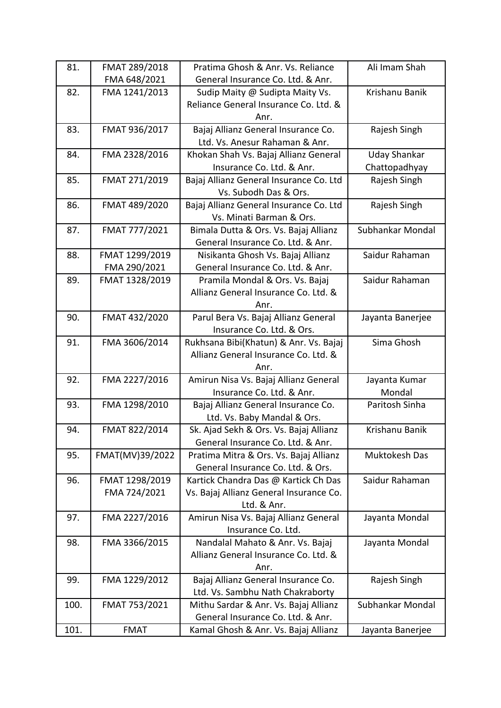| 81.  | FMAT 289/2018   | Pratima Ghosh & Anr. Vs. Reliance       | Ali Imam Shah       |
|------|-----------------|-----------------------------------------|---------------------|
|      | FMA 648/2021    | General Insurance Co. Ltd. & Anr.       |                     |
| 82.  | FMA 1241/2013   | Sudip Maity @ Sudipta Maity Vs.         | Krishanu Banik      |
|      |                 | Reliance General Insurance Co. Ltd. &   |                     |
|      |                 | Anr.                                    |                     |
| 83.  | FMAT 936/2017   | Bajaj Allianz General Insurance Co.     | Rajesh Singh        |
|      |                 | Ltd. Vs. Anesur Rahaman & Anr.          |                     |
| 84.  | FMA 2328/2016   | Khokan Shah Vs. Bajaj Allianz General   | <b>Uday Shankar</b> |
|      |                 | Insurance Co. Ltd. & Anr.               | Chattopadhyay       |
| 85.  | FMAT 271/2019   | Bajaj Allianz General Insurance Co. Ltd | Rajesh Singh        |
|      |                 | Vs. Subodh Das & Ors.                   |                     |
| 86.  | FMAT 489/2020   | Bajaj Allianz General Insurance Co. Ltd | Rajesh Singh        |
|      |                 | Vs. Minati Barman & Ors.                |                     |
| 87.  | FMAT 777/2021   | Bimala Dutta & Ors. Vs. Bajaj Allianz   | Subhankar Mondal    |
|      |                 | General Insurance Co. Ltd. & Anr.       |                     |
| 88.  | FMAT 1299/2019  | Nisikanta Ghosh Vs. Bajaj Allianz       | Saidur Rahaman      |
|      | FMA 290/2021    | General Insurance Co. Ltd. & Anr.       |                     |
| 89.  | FMAT 1328/2019  | Pramila Mondal & Ors. Vs. Bajaj         | Saidur Rahaman      |
|      |                 | Allianz General Insurance Co. Ltd. &    |                     |
|      |                 | Anr.                                    |                     |
| 90.  | FMAT 432/2020   | Parul Bera Vs. Bajaj Allianz General    | Jayanta Banerjee    |
|      |                 | Insurance Co. Ltd. & Ors.               |                     |
| 91.  | FMA 3606/2014   | Rukhsana Bibi(Khatun) & Anr. Vs. Bajaj  | Sima Ghosh          |
|      |                 | Allianz General Insurance Co. Ltd. &    |                     |
|      |                 | Anr.                                    |                     |
| 92.  | FMA 2227/2016   | Amirun Nisa Vs. Bajaj Allianz General   | Jayanta Kumar       |
|      |                 | Insurance Co. Ltd. & Anr.               | Mondal              |
| 93.  | FMA 1298/2010   | Bajaj Allianz General Insurance Co.     | Paritosh Sinha      |
|      |                 | Ltd. Vs. Baby Mandal & Ors.             |                     |
| 94.  | FMAT 822/2014   | Sk. Ajad Sekh & Ors. Vs. Bajaj Allianz  | Krishanu Banik      |
|      |                 | General Insurance Co. Ltd. & Anr.       |                     |
| 95.  | FMAT(MV)39/2022 | Pratima Mitra & Ors. Vs. Bajaj Allianz  | Muktokesh Das       |
|      |                 | General Insurance Co. Ltd. & Ors.       |                     |
| 96.  | FMAT 1298/2019  | Kartick Chandra Das @ Kartick Ch Das    | Saidur Rahaman      |
|      | FMA 724/2021    | Vs. Bajaj Allianz General Insurance Co. |                     |
|      |                 | Ltd. & Anr.                             |                     |
| 97.  | FMA 2227/2016   | Amirun Nisa Vs. Bajaj Allianz General   | Jayanta Mondal      |
|      |                 | Insurance Co. Ltd.                      |                     |
| 98.  | FMA 3366/2015   | Nandalal Mahato & Anr. Vs. Bajaj        | Jayanta Mondal      |
|      |                 | Allianz General Insurance Co. Ltd. &    |                     |
|      |                 | Anr.                                    |                     |
| 99.  | FMA 1229/2012   | Bajaj Allianz General Insurance Co.     | Rajesh Singh        |
|      |                 | Ltd. Vs. Sambhu Nath Chakraborty        |                     |
| 100. | FMAT 753/2021   | Mithu Sardar & Anr. Vs. Bajaj Allianz   | Subhankar Mondal    |
|      |                 | General Insurance Co. Ltd. & Anr.       |                     |
| 101. | <b>FMAT</b>     | Kamal Ghosh & Anr. Vs. Bajaj Allianz    | Jayanta Banerjee    |